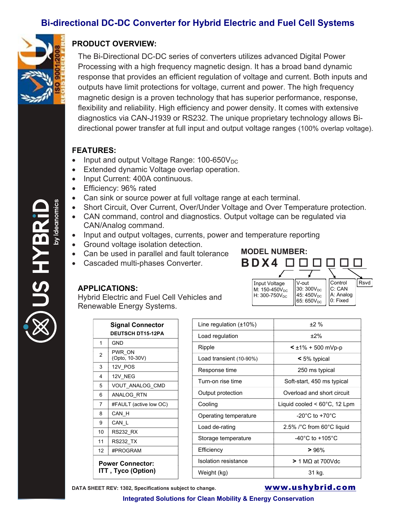# **Bi-directional DC-DC Converter for Hybrid Electric and Fuel Cell Systems**



**EAH SN** 

# **PRODUCT OVERVIEW:**

The Bi-Directional DC-DC series of converters utilizes advanced Digital Power Processing with a high frequency magnetic design. It has a broad band dynamic response that provides an efficient regulation of voltage and current. Both inputs and outputs have limit protections for voltage, current and power. The high frequency magnetic design is a proven technology that has superior performance, response, flexibility and reliability. High efficiency and power density. It comes with extensive diagnostics via CAN-J1939 or RS232. The unique proprietary technology allows Bidirectional power transfer at full input and output voltage ranges (100% overlap voltage).

### **FEATURES:**

- Input and output Voltage Range:  $100-650V_{DC}$
- Extended dynamic Voltage overlap operation.
- Input Current: 400A continuous.
- Efficiency: 96% rated
- Can sink or source power at full voltage range at each terminal.
- Short Circuit, Over Current, Over/Under Voltage and Over Temperature protection.
- CAN command, control and diagnostics. Output voltage can be regulated via CAN/Analog command.
- Input and output voltages, currents, power and temperature reporting
- Ground voltage isolation detection.
- Can be used in parallel and fault tolerance
- Cascaded multi-phases Converter.

## **APPLICATIONS:**

Hybrid Electric and Fuel Cell Vehicles and Renewable Energy Systems.

| <b>Signal Connector</b>                       |                          |  | Line reg  |
|-----------------------------------------------|--------------------------|--|-----------|
| <b>DEUTSCH DT15-12PA</b>                      |                          |  | Load reg  |
| 1                                             | GND                      |  | Ripple    |
| 2                                             | PWR ON<br>(Opto, 10-30V) |  | Load tra  |
| 3                                             | 12V POS                  |  | Respons   |
| 4                                             | 12V NEG                  |  |           |
| 5                                             | VOUT ANALOG CMD          |  | Turn-on   |
| 6                                             | ANALOG RTN               |  | Output p  |
| 7                                             | #FAULT (active low OC)   |  | Cooling   |
| 8                                             | CAN H                    |  | Operatin  |
| 9                                             | CAN_L                    |  | Load de   |
| 10                                            | <b>RS232_RX</b>          |  |           |
| 11                                            | RS232_TX                 |  | Storage   |
| 12                                            | #PROGRAM                 |  | Efficienc |
| <b>Power Connector:</b><br>ITT, Tyco (Option) |                          |  | Isolation |
|                                               |                          |  | Weiaht (  |



Input Voltage  $M: 150 - 450V_{DC}$  $H: 300-750V_{DC}$ 

**B D X4**

**MODEL NUMBER:** 

**DATA SHEET REV: 1302, Specifications subject to change. WWW.ushybrid.com** 

Control Rsvd

C: CAN A: Analog 0: Fixed

V-out 30: 300V<sub>DC</sub>  $45:450V<sub>DC</sub>$ 65:  $650V_{DC}$ 

**Integrated Solutions for Clean Mobility & Energy Conservation**